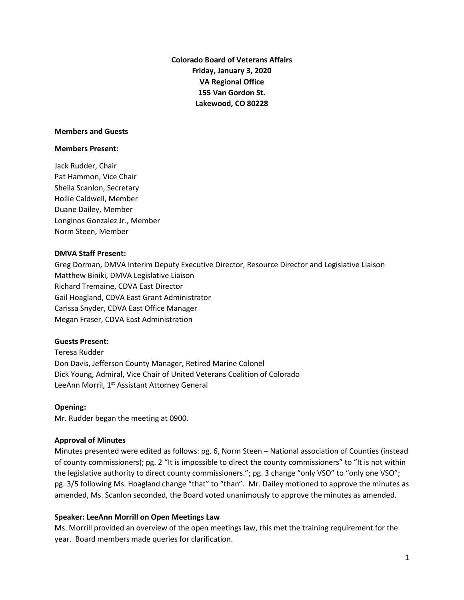**Colorado Board of Veterans Affairs Friday, January 3, 2020 VA Regional Office 155 Van Gordon St. Lakewood, CO 80228**

#### **Members and Guests**

#### **Members Present:**

Jack Rudder, Chair Pat Hammon, Vice Chair Sheila Scanlon, Secretary Hollie Caldwell, Member Duane Dailey, Member Longinos Gonzalez Jr., Member Norm Steen, Member

### **DMVA Staff Present:**

Greg Dorman, DMVA Interim Deputy Executive Director, Resource Director and Legislative Liaison Matthew Biniki, DMVA Legislative Liaison Richard Tremaine, CDVA East Director Gail Hoagland, CDVA East Grant Administrator Carissa Snyder, CDVA East Office Manager Megan Fraser, CDVA East Administration

### **Guests Present:**

Teresa Rudder Don Davis, Jefferson County Manager, Retired Marine Colonel Dick Young, Admiral, Vice Chair of United Veterans Coalition of Colorado LeeAnn Morril, 1<sup>st</sup> Assistant Attorney General

### **Opening:**

Mr. Rudder began the meeting at 0900.

### **Approval of Minutes**

Minutes presented were edited as follows: pg. 6, Norm Steen – National association of Counties (instead of county commissioners); pg. 2 "It is impossible to direct the county commissioners" to "It is not within the legislative authority to direct county commissioners."; pg. 3 change "only VSO" to "only one VSO"; pg. 3/5 following Ms. Hoagland change "that" to "than". Mr. Dailey motioned to approve the minutes as amended, Ms. Scanlon seconded, the Board voted unanimously to approve the minutes as amended.

## **Speaker: LeeAnn Morrill on Open Meetings Law**

Ms. Morrill provided an overview of the open meetings law, this met the training requirement for the year. Board members made queries for clarification.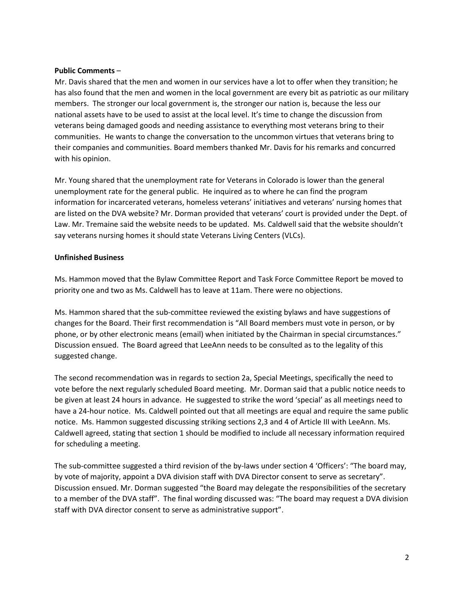## **Public Comments** –

Mr. Davis shared that the men and women in our services have a lot to offer when they transition; he has also found that the men and women in the local government are every bit as patriotic as our military members. The stronger our local government is, the stronger our nation is, because the less our national assets have to be used to assist at the local level. It's time to change the discussion from veterans being damaged goods and needing assistance to everything most veterans bring to their communities. He wants to change the conversation to the uncommon virtues that veterans bring to their companies and communities. Board members thanked Mr. Davis for his remarks and concurred with his opinion.

Mr. Young shared that the unemployment rate for Veterans in Colorado is lower than the general unemployment rate for the general public. He inquired as to where he can find the program information for incarcerated veterans, homeless veterans' initiatives and veterans' nursing homes that are listed on the DVA website? Mr. Dorman provided that veterans' court is provided under the Dept. of Law. Mr. Tremaine said the website needs to be updated. Ms. Caldwell said that the website shouldn't say veterans nursing homes it should state Veterans Living Centers (VLCs).

## **Unfinished Business**

Ms. Hammon moved that the Bylaw Committee Report and Task Force Committee Report be moved to priority one and two as Ms. Caldwell has to leave at 11am. There were no objections.

Ms. Hammon shared that the sub-committee reviewed the existing bylaws and have suggestions of changes for the Board. Their first recommendation is "All Board members must vote in person, or by phone, or by other electronic means (email) when initiated by the Chairman in special circumstances." Discussion ensued. The Board agreed that LeeAnn needs to be consulted as to the legality of this suggested change.

The second recommendation was in regards to section 2a, Special Meetings, specifically the need to vote before the next regularly scheduled Board meeting. Mr. Dorman said that a public notice needs to be given at least 24 hours in advance. He suggested to strike the word 'special' as all meetings need to have a 24-hour notice. Ms. Caldwell pointed out that all meetings are equal and require the same public notice. Ms. Hammon suggested discussing striking sections 2,3 and 4 of Article III with LeeAnn. Ms. Caldwell agreed, stating that section 1 should be modified to include all necessary information required for scheduling a meeting.

The sub-committee suggested a third revision of the by-laws under section 4 'Officers': "The board may, by vote of majority, appoint a DVA division staff with DVA Director consent to serve as secretary". Discussion ensued. Mr. Dorman suggested "the Board may delegate the responsibilities of the secretary to a member of the DVA staff". The final wording discussed was: "The board may request a DVA division staff with DVA director consent to serve as administrative support".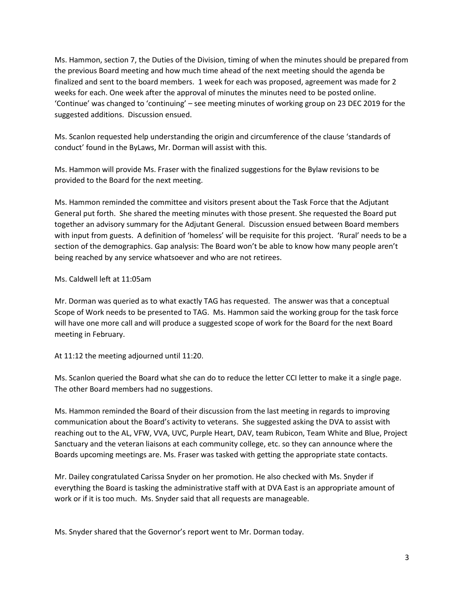Ms. Hammon, section 7, the Duties of the Division, timing of when the minutes should be prepared from the previous Board meeting and how much time ahead of the next meeting should the agenda be finalized and sent to the board members. 1 week for each was proposed, agreement was made for 2 weeks for each. One week after the approval of minutes the minutes need to be posted online. 'Continue' was changed to 'continuing' – see meeting minutes of working group on 23 DEC 2019 for the suggested additions. Discussion ensued.

Ms. Scanlon requested help understanding the origin and circumference of the clause 'standards of conduct' found in the ByLaws, Mr. Dorman will assist with this.

Ms. Hammon will provide Ms. Fraser with the finalized suggestions for the Bylaw revisions to be provided to the Board for the next meeting.

Ms. Hammon reminded the committee and visitors present about the Task Force that the Adjutant General put forth. She shared the meeting minutes with those present. She requested the Board put together an advisory summary for the Adjutant General. Discussion ensued between Board members with input from guests. A definition of 'homeless' will be requisite for this project. 'Rural' needs to be a section of the demographics. Gap analysis: The Board won't be able to know how many people aren't being reached by any service whatsoever and who are not retirees.

## Ms. Caldwell left at 11:05am

Mr. Dorman was queried as to what exactly TAG has requested. The answer was that a conceptual Scope of Work needs to be presented to TAG. Ms. Hammon said the working group for the task force will have one more call and will produce a suggested scope of work for the Board for the next Board meeting in February.

At 11:12 the meeting adjourned until 11:20.

Ms. Scanlon queried the Board what she can do to reduce the letter CCI letter to make it a single page. The other Board members had no suggestions.

Ms. Hammon reminded the Board of their discussion from the last meeting in regards to improving communication about the Board's activity to veterans. She suggested asking the DVA to assist with reaching out to the AL, VFW, VVA, UVC, Purple Heart, DAV, team Rubicon, Team White and Blue, Project Sanctuary and the veteran liaisons at each community college, etc. so they can announce where the Boards upcoming meetings are. Ms. Fraser was tasked with getting the appropriate state contacts.

Mr. Dailey congratulated Carissa Snyder on her promotion. He also checked with Ms. Snyder if everything the Board is tasking the administrative staff with at DVA East is an appropriate amount of work or if it is too much. Ms. Snyder said that all requests are manageable.

Ms. Snyder shared that the Governor's report went to Mr. Dorman today.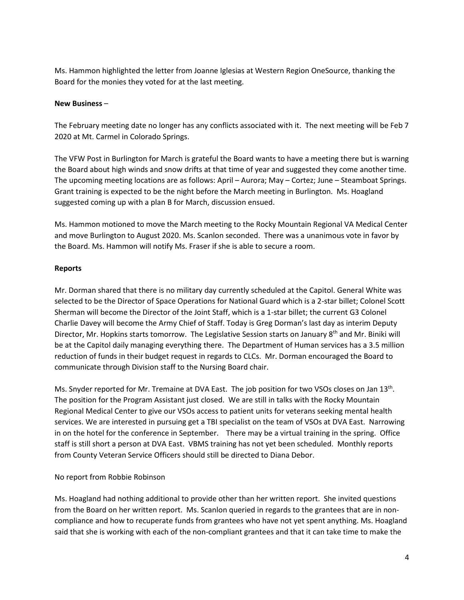Ms. Hammon highlighted the letter from Joanne Iglesias at Western Region OneSource, thanking the Board for the monies they voted for at the last meeting.

## **New Business** –

The February meeting date no longer has any conflicts associated with it. The next meeting will be Feb 7 2020 at Mt. Carmel in Colorado Springs.

The VFW Post in Burlington for March is grateful the Board wants to have a meeting there but is warning the Board about high winds and snow drifts at that time of year and suggested they come another time. The upcoming meeting locations are as follows: April – Aurora; May – Cortez; June – Steamboat Springs. Grant training is expected to be the night before the March meeting in Burlington. Ms. Hoagland suggested coming up with a plan B for March, discussion ensued.

Ms. Hammon motioned to move the March meeting to the Rocky Mountain Regional VA Medical Center and move Burlington to August 2020. Ms. Scanlon seconded. There was a unanimous vote in favor by the Board. Ms. Hammon will notify Ms. Fraser if she is able to secure a room.

## **Reports**

Mr. Dorman shared that there is no military day currently scheduled at the Capitol. General White was selected to be the Director of Space Operations for National Guard which is a 2-star billet; Colonel Scott Sherman will become the Director of the Joint Staff, which is a 1-star billet; the current G3 Colonel Charlie Davey will become the Army Chief of Staff. Today is Greg Dorman's last day as interim Deputy Director, Mr. Hopkins starts tomorrow. The Legislative Session starts on January 8<sup>th</sup> and Mr. Biniki will be at the Capitol daily managing everything there. The Department of Human services has a 3.5 million reduction of funds in their budget request in regards to CLCs. Mr. Dorman encouraged the Board to communicate through Division staff to the Nursing Board chair.

Ms. Snyder reported for Mr. Tremaine at DVA East. The job position for two VSOs closes on Jan 13th. The position for the Program Assistant just closed. We are still in talks with the Rocky Mountain Regional Medical Center to give our VSOs access to patient units for veterans seeking mental health services. We are interested in pursuing get a TBI specialist on the team of VSOs at DVA East. Narrowing in on the hotel for the conference in September. There may be a virtual training in the spring. Office staff is still short a person at DVA East. VBMS training has not yet been scheduled. Monthly reports from County Veteran Service Officers should still be directed to Diana Debor.

# No report from Robbie Robinson

Ms. Hoagland had nothing additional to provide other than her written report. She invited questions from the Board on her written report. Ms. Scanlon queried in regards to the grantees that are in noncompliance and how to recuperate funds from grantees who have not yet spent anything. Ms. Hoagland said that she is working with each of the non-compliant grantees and that it can take time to make the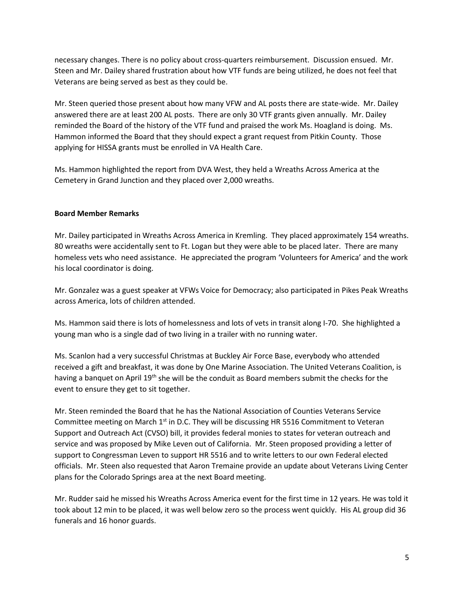necessary changes. There is no policy about cross-quarters reimbursement. Discussion ensued. Mr. Steen and Mr. Dailey shared frustration about how VTF funds are being utilized, he does not feel that Veterans are being served as best as they could be.

Mr. Steen queried those present about how many VFW and AL posts there are state-wide. Mr. Dailey answered there are at least 200 AL posts. There are only 30 VTF grants given annually. Mr. Dailey reminded the Board of the history of the VTF fund and praised the work Ms. Hoagland is doing. Ms. Hammon informed the Board that they should expect a grant request from Pitkin County. Those applying for HISSA grants must be enrolled in VA Health Care.

Ms. Hammon highlighted the report from DVA West, they held a Wreaths Across America at the Cemetery in Grand Junction and they placed over 2,000 wreaths.

## **Board Member Remarks**

Mr. Dailey participated in Wreaths Across America in Kremling. They placed approximately 154 wreaths. 80 wreaths were accidentally sent to Ft. Logan but they were able to be placed later. There are many homeless vets who need assistance. He appreciated the program 'Volunteers for America' and the work his local coordinator is doing.

Mr. Gonzalez was a guest speaker at VFWs Voice for Democracy; also participated in Pikes Peak Wreaths across America, lots of children attended.

Ms. Hammon said there is lots of homelessness and lots of vets in transit along I-70. She highlighted a young man who is a single dad of two living in a trailer with no running water.

Ms. Scanlon had a very successful Christmas at Buckley Air Force Base, everybody who attended received a gift and breakfast, it was done by One Marine Association. The United Veterans Coalition, is having a banquet on April 19<sup>th</sup> she will be the conduit as Board members submit the checks for the event to ensure they get to sit together.

Mr. Steen reminded the Board that he has the National Association of Counties Veterans Service Committee meeting on March  $1<sup>st</sup>$  in D.C. They will be discussing HR 5516 Commitment to Veteran Support and Outreach Act (CVSO) bill, it provides federal monies to states for veteran outreach and service and was proposed by Mike Leven out of California. Mr. Steen proposed providing a letter of support to Congressman Leven to support HR 5516 and to write letters to our own Federal elected officials. Mr. Steen also requested that Aaron Tremaine provide an update about Veterans Living Center plans for the Colorado Springs area at the next Board meeting.

Mr. Rudder said he missed his Wreaths Across America event for the first time in 12 years. He was told it took about 12 min to be placed, it was well below zero so the process went quickly. His AL group did 36 funerals and 16 honor guards.